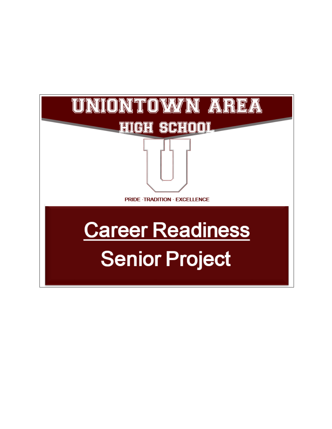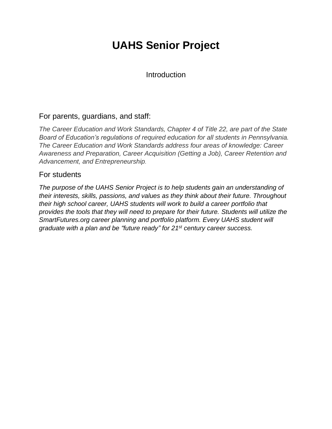## **UAHS Senior Project**

Introduction

## For parents, guardians, and staff:

*The Career Education and Work Standards, Chapter 4 of Title 22, are part of the State Board of Education's regulations of required education for all students in Pennsylvania. The Career Education and Work Standards address four areas of knowledge: Career Awareness and Preparation, Career Acquisition (Getting a Job), Career Retention and Advancement, and Entrepreneurship.*

## For students

*The purpose of the UAHS Senior Project is to help students gain an understanding of their interests, skills, passions, and values as they think about their future. Throughout their high school career, UAHS students will work to build a career portfolio that provides the tools that they will need to prepare for their future. Students will utilize the SmartFutures.org career planning and portfolio platform. Every UAHS student will graduate with a plan and be "future ready" for 21st century career success.*